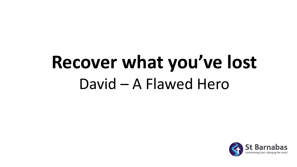# **Recover what you've lost** David – A Flawed Hero

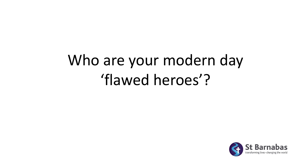#### Who are your modern day 'flawed heroes'?

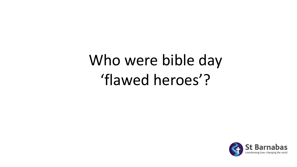#### Who were bible day 'flawed heroes'?

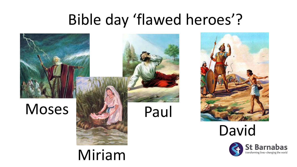#### Bible day 'flawed heroes'?

transforming lives · changing the world



Miriam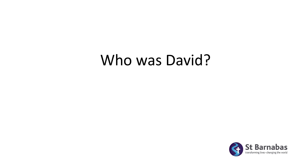#### Who was David?

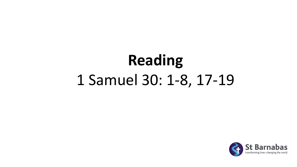## **Reading** 1 Samuel 30: 1-8, 17-19

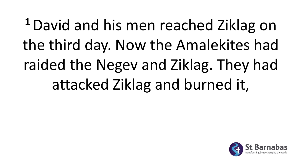**<sup>1</sup>**David and his men reached Ziklag on the third day. Now the Amalekites had raided the Negev and Ziklag. They had attacked Ziklag and burned it,

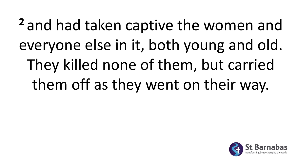**<sup>2</sup>** and had taken captive the women and everyone else in it, both young and old. They killed none of them, but carried them off as they went on their way.

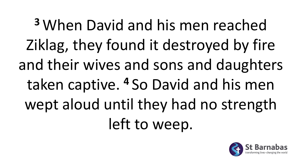**<sup>3</sup>** When David and his men reached Ziklag, they found it destroyed by fire and their wives and sons and daughters taken captive. **<sup>4</sup>** So David and his men wept aloud until they had no strength left to weep.

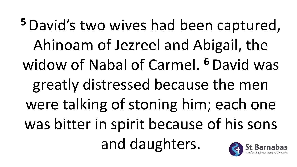**<sup>5</sup>**David's two wives had been captured, Ahinoam of Jezreel and Abigail, the widow of Nabal of Carmel. **<sup>6</sup>**David was greatly distressed because the men were talking of stoning him; each one was bitter in spirit because of his sons and daughters.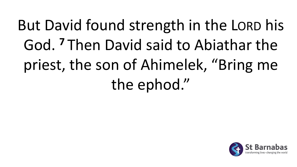But David found strength in the LORD his God. **<sup>7</sup>** Then David said to Abiathar the priest, the son of Ahimelek, "Bring me the ephod."

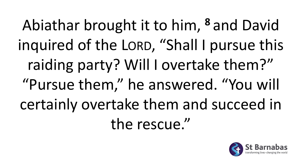Abiathar brought it to him, **<sup>8</sup>** and David inquired of the LORD, "Shall I pursue this raiding party? Will I overtake them?" "Pursue them," he answered. "You will certainly overtake them and succeed in the rescue."

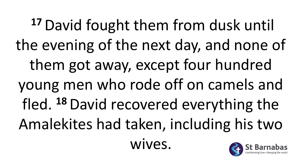**<sup>17</sup>**David fought them from dusk until the evening of the next day, and none of them got away, except four hundred young men who rode off on camels and fled. **<sup>18</sup>**David recovered everything the Amalekites had taken, including his two wives.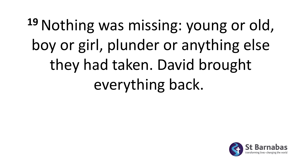# **<sup>19</sup>**Nothing was missing: young or old, boy or girl, plunder or anything else they had taken. David brought everything back.

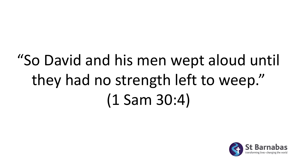## "So David and his men wept aloud until they had no strength left to weep." (1 Sam 30:4)

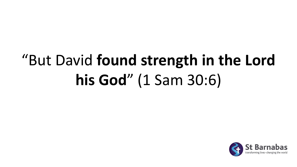## "But David **found strength in the Lord his God**" (1 Sam 30:6)

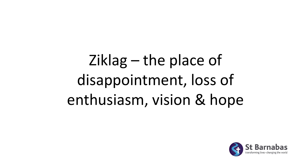## Ziklag – the place of disappointment, loss of enthusiasm, vision & hope

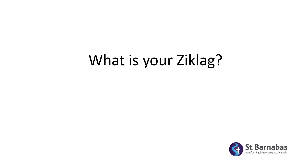#### What is your Ziklag?

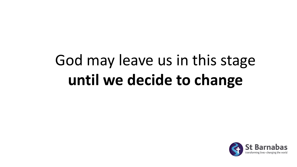### God may leave us in this stage **until we decide to change**

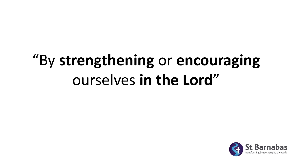#### "By **strengthening** or **encouraging** ourselves **in the Lord**"

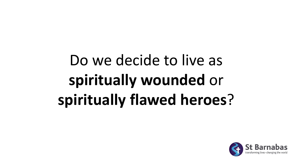## Do we decide to live as **spiritually wounded** or **spiritually flawed heroes**?

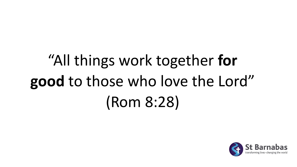# "All things work together **for good** to those who love the Lord" (Rom 8:28)

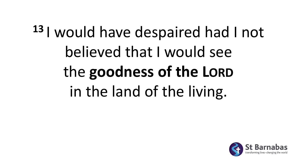# **<sup>13</sup>** I would have despaired had I not believed that I would see the **goodness of the LORD** in the land of the living.

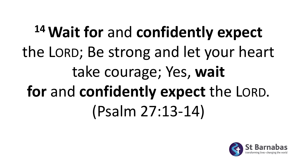# **<sup>14</sup>Wait for** and **confidently expect**  the LORD; Be strong and let your heart take courage; Yes, **wait for** and **confidently expect** the LORD. (Psalm 27:13-14)